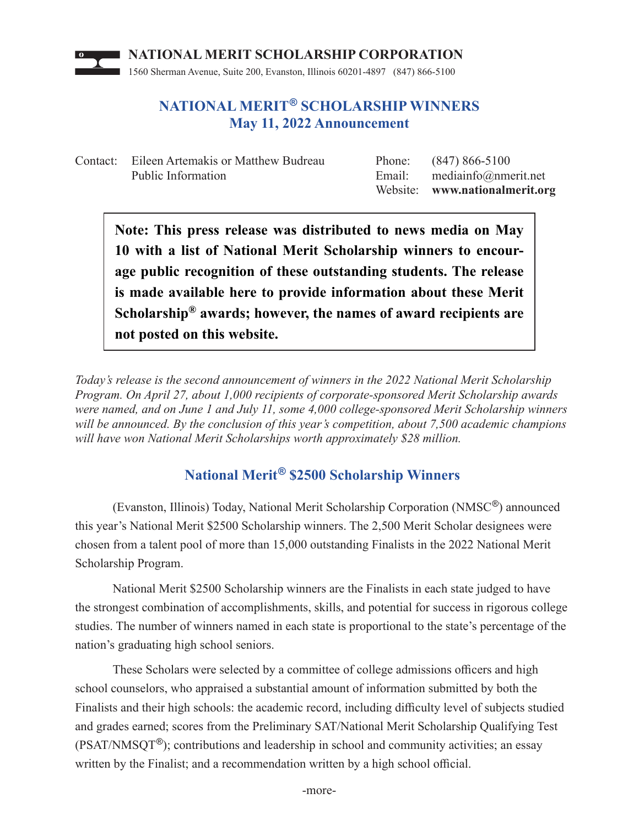

## **NATIONAL MERIT® SCHOLARSHIP WINNERS May 11, 2022 Announcement**

Contact: Eileen Artemakis or Matthew Budreau Phone: (847) 866-5100 Public Information Email: mediainfo@nmerit.net

Website: **www.nationalmerit.org**

**Note: This press release was distributed to news media on May 10 with a list of National Merit Scholarship winners to encourage public recognition of these outstanding students. The release is made available here to provide information about these Merit Scholarship® awards; however, the names of award recipients are not posted on this website.**

*Today's release is the second announcement of winners in the 2022 National Merit Scholarship Program. On April 27, about 1,000 recipients of corporate-sponsored Merit Scholarship awards were named, and on June 1 and July 11, some 4,000 college-sponsored Merit Scholarship winners will be announced. By the conclusion of this year's competition, about 7,500 academic champions will have won National Merit Scholarships worth approximately \$28 million.*

## **National Merit® \$2500 Scholarship Winners**

(Evanston, Illinois) Today, National Merit Scholarship Corporation (NMSC®) announced this year's National Merit \$2500 Scholarship winners. The 2,500 Merit Scholar designees were chosen from a talent pool of more than 15,000 outstanding Finalists in the 2022 National Merit Scholarship Program.

 National Merit \$2500 Scholarship winners are the Finalists in each state judged to have the strongest combination of accomplishments, skills, and potential for success in rigorous college studies. The number of winners named in each state is proportional to the state's percentage of the nation's graduating high school seniors.

These Scholars were selected by a committee of college admissions officers and high school counselors, who appraised a substantial amount of information submitted by both the Finalists and their high schools: the academic record, including difficulty level of subjects studied and grades earned; scores from the Preliminary SAT/National Merit Scholarship Qualifying Test (PSAT/NMSQT®); contributions and leadership in school and community activities; an essay written by the Finalist; and a recommendation written by a high school official.